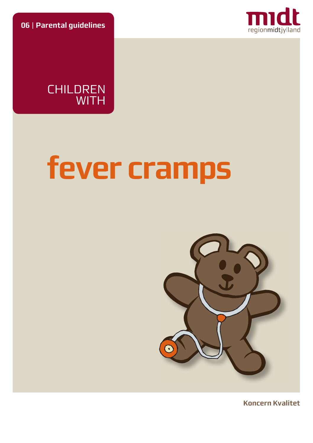**06** | **Parental guidelines**



CHILDREN WITH

# **fever cramps**



**Koncern Kvalitet**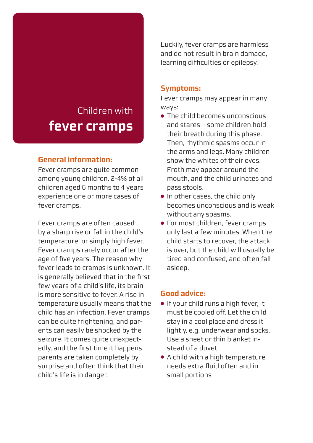# Children with **fever cramps**

# **General information:**

Fever cramps are quite common among young children. 2-4% of all children aged 6 months to 4 years experience one or more cases of fever cramps.

Fever cramps are often caused by a sharp rise or fall in the child's temperature, or simply high fever. Fever cramps rarely occur after the age of five years. The reason why fever leads to cramps is unknown. It is generally believed that in the first few years of a child's life, its brain is more sensitive to fever. A rise in temperature usually means that the child has an infection. Fever cramps can be quite frightening, and parents can easily be shocked by the seizure. It comes quite unexpectedly, and the first time it happens parents are taken completely by surprise and often think that their child's life is in danger.

Luckily, fever cramps are harmless and do not result in brain damage, learning difficulties or epilepsy.

#### **Symptoms:**

Fever cramps may appear in many ways:

- The child becomes unconscious and stares – some children hold their breath during this phase. Then, rhythmic spasms occur in the arms and legs. Many children show the whites of their eyes. Froth may appear around the mouth, and the child urinates and pass stools.
- In other cases, the child only becomes unconscious and is weak without any spasms.
- For most children, fever cramps only last a few minutes. When the child starts to recover, the attack is over, but the child will usually be tired and confused, and often fall asleep.

#### **Good advice:**

- If your child runs a high fever, it must be cooled off. Let the child stay in a cool place and dress it lightly, e.g. underwear and socks. Use a sheet or thin blanket instead of a duvet
- A child with a high temperature needs extra fluid often and in small portions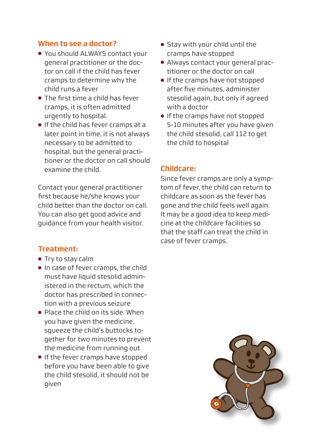### **When to see a doctor?**

- You should ALWAYS contact your general practitioner or the doctor on call if the child has fever cramps to determine why the child runs a fever
- The first time a child has fever cramps, it is often admitted urgently to hospital.
- If the child has fever cramps at a later point in time, it is not always necessary to be admitted to hospital, but the general practitioner or the doctor on call should examine the child.

Contact your general practitioner first because he/she knows your child better than the doctor on call. You can also get good advice and guidance from your health visitor.

#### **Treatment:**

- Try to stay calm
- In case of fever cramps, the child must have liquid stesolid administered in the rectum, which the doctor has prescribed in connection with a previous seizure
- Place the child on its side. When you have given the medicine, squeeze the child's buttocks together for two minutes to prevent the medicine from running out
- If the fever cramps have stopped before you have been able to give the child stesolid, it should not be given
- Stay with your child until the cramps have stopped
- Always contact your general practitioner or the doctor on call
- If the cramps have not stopped after five minutes, administer stesolid again, but only if agreed with a doctor
- If the cramps have not stopped 5-10 minutes after you have given the child stesolid, call 112 to get the child to hospital

#### **Childcare:**

Since fever cramps are only a symptom of fever, the child can return to childcare as soon as the fever has gone and the child feels well again. It may be a good idea to keep medicine at the childcare facilities so that the staff can treat the child in case of fever cramps.